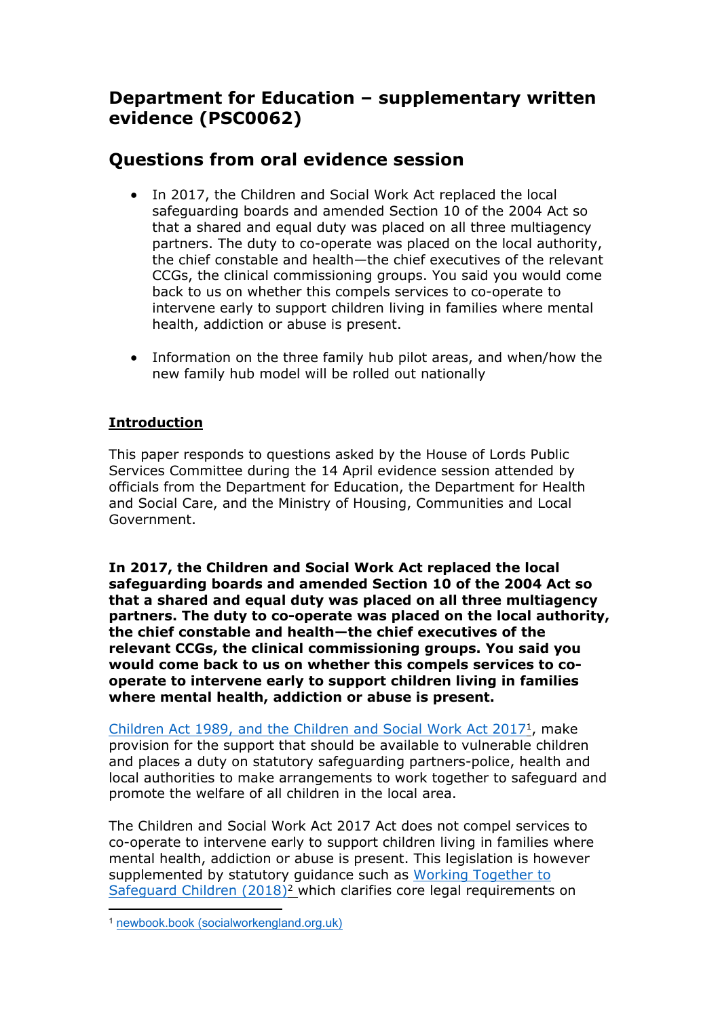## **Department for Education – supplementary written evidence (PSC0062)**

## **Questions from oral evidence session**

- In 2017, the Children and Social Work Act replaced the local safeguarding boards and amended Section 10 of the 2004 Act so that a shared and equal duty was placed on all three multiagency partners. The duty to co-operate was placed on the local authority, the chief constable and health—the chief executives of the relevant CCGs, the clinical commissioning groups. You said you would come back to us on whether this compels services to co-operate to intervene early to support children living in families where mental health, addiction or abuse is present.
- Information on the three family hub pilot areas, and when/how the new family hub model will be rolled out nationally

## **Introduction**

This paper responds to questions asked by the House of Lords Public Services Committee during the 14 April evidence session attended by officials from the Department for Education, the Department for Health and Social Care, and the Ministry of Housing, Communities and Local Government.

**In 2017, the Children and Social Work Act replaced the local safeguarding boards and amended Section 10 of the 2004 Act so that a shared and equal duty was placed on all three multiagency partners. The duty to co-operate was placed on the local authority, the chief constable and health—the chief executives of the relevant CCGs, the clinical commissioning groups. You said you would come back to us on whether this compels services to cooperate to intervene early to support children living in families where mental health, addiction or abuse is present.**

[Children](https://www.socialworkengland.org.uk/media/1501/cswa-2017.pdf) [Act](https://www.socialworkengland.org.uk/media/1501/cswa-2017.pdf) [1989,](https://www.socialworkengland.org.uk/media/1501/cswa-2017.pdf) [and](https://www.socialworkengland.org.uk/media/1501/cswa-2017.pdf) [the](https://www.socialworkengland.org.uk/media/1501/cswa-2017.pdf) [Children](https://www.socialworkengland.org.uk/media/1501/cswa-2017.pdf) [and](https://www.socialworkengland.org.uk/media/1501/cswa-2017.pdf) [Social](https://www.socialworkengland.org.uk/media/1501/cswa-2017.pdf) [Work](https://www.socialworkengland.org.uk/media/1501/cswa-2017.pdf) [Act](https://www.socialworkengland.org.uk/media/1501/cswa-2017.pdf) [2017](https://www.socialworkengland.org.uk/media/1501/cswa-2017.pdf)<sup>1</sup>, make provision for the support that should be available to vulnerable children and places a duty on statutory safeguarding partners-police, health and local authorities to make arrangements to work together to safeguard and promote the welfare of all children in the local area.

The Children and Social Work Act 2017 Act does not compel services to co-operate to intervene early to support children living in families where mental health, addiction or abuse is present. This legislation is however supplemented by statutory guidance such as [Working](https://www.gov.uk/government/publications/working-together-to-safeguard-children--2) [Together](https://www.gov.uk/government/publications/working-together-to-safeguard-children--2) [to](https://www.gov.uk/government/publications/working-together-to-safeguard-children--2) [Safeguard](https://www.gov.uk/government/publications/working-together-to-safeguard-children--2) [Children](https://www.gov.uk/government/publications/working-together-to-safeguard-children--2) [\(2018\)](https://www.gov.uk/government/publications/working-together-to-safeguard-children--2)<sup>2</sup> which clarifies core legal requirements on

<sup>1</sup> [newbook.book](https://www.socialworkengland.org.uk/media/1501/cswa-2017.pdf) [\(socialworkengland.org.uk\)](https://www.socialworkengland.org.uk/media/1501/cswa-2017.pdf)